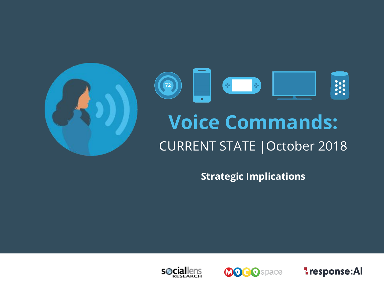

**Strategic Implications**





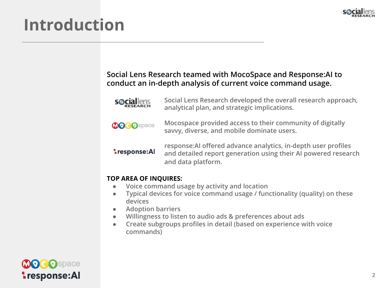

## **Introduction**

#### **Social Lens Research teamed with MocoSpace and Response:AI to conduct an in-depth analysis of current voice command usage.**

**s**Ociallens

**Social Lens Research developed the overall research approach, analytical plan, and strategic implications.** 



**Mocospace provided access to their community of digitally savvy, diverse, and mobile dominate users.** 

**Lesponse:Al** 

**response:AI offered advance analytics, in-depth user profiles and detailed report generation using their AI powered research and data platform.** 

#### **TOP AREA OF INQUIRES:**

- **Voice command usage by activity and location**
- **Typical devices for voice command usage / functionality (quality) on these devices**
- **Adoption barriers**
- **Willingness to listen to audio ads & preferences about ads**
- **Create subgroups profiles in detail (based on experience with voice commands)**

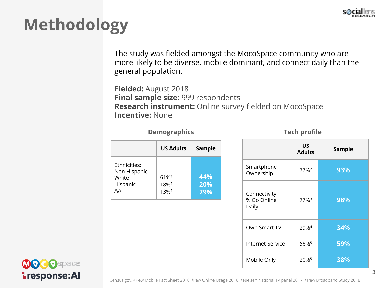

# **Methodology**

The study was fielded amongst the MocoSpace community who are more likely to be diverse, mobile dominant, and connect daily than the general population.

**Fielded:** August 2018 **Final sample size:** 999 respondents **Research instrument:** Online survey fielded on MocoSpace **Incentive:** None

| <b>Demographics</b> |  |  |  |  |  |  |  |  |  |
|---------------------|--|--|--|--|--|--|--|--|--|
|---------------------|--|--|--|--|--|--|--|--|--|

|                                                         | <b>US Adults</b>     | <b>Sample</b>     |
|---------------------------------------------------------|----------------------|-------------------|
| Ethnicities:<br>Non Hispanic<br>White<br>Hispanic<br>ΔА | 61%1<br>18%1<br>13%1 | 44%<br>20%<br>29% |

**Tech profile** 

|                                      | US<br><b>Adults</b> | <b>Sample</b> |
|--------------------------------------|---------------------|---------------|
| Smartphone<br>Ownership              | 77% <sup>2</sup>    | 93%           |
| Connectivity<br>% Go Online<br>Daily | 77%3                | 98%           |
| Own Smart TV                         | 29%4                | 34%           |
| <b>Internet Service</b>              | 65% <sup>5</sup>    | 59%           |
| Mobile Only                          | 20% <sup>5</sup>    | 38%           |

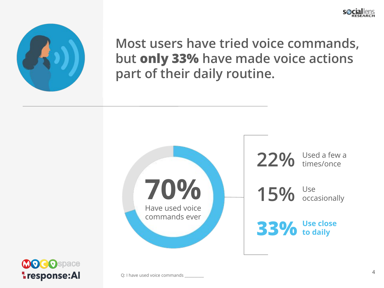



**Most users have tried voice commands, but only 33% have made voice actions part of their daily routine.** 



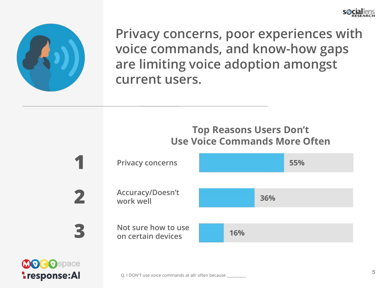



**Privacy concerns, poor experiences with voice commands, and know-how gaps are limiting voice adoption amongst current users.**

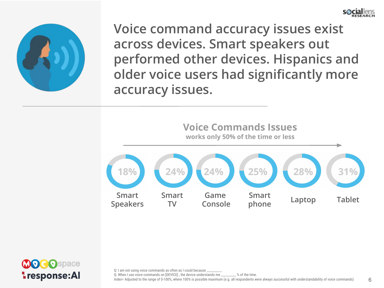



**Voice command accuracy issues exist across devices. Smart speakers out performed other devices. Hispanics and older voice users had significantly more accuracy issues.**





Q: I am not using voice commands as often as I could because

Q: When I use voice commands on [DEVICE] , the device understands me \_\_\_\_\_\_\_\_\_\_ % of the time.

Index= Adjusted to the range of 0-100%, where 100% is possible maximum (e.g. all respondents were always successful with understandability of voice commands)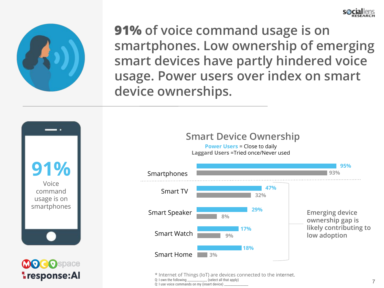



**91% of voice command usage is on smartphones. Low ownership of emerging smart devices have partly hindered voice usage. Power users over index on smart device ownerships.**

**91%** Voice command usage is on smartphones



### **Smart Device Ownership**

**Power Users = Close to daily Laggard Users** =Tried once/Never used



\* Internet of Things (IoT) are devices connected to the internet. Q: I own the following example (select all that apply) Q: I use voice commands on my (insert device)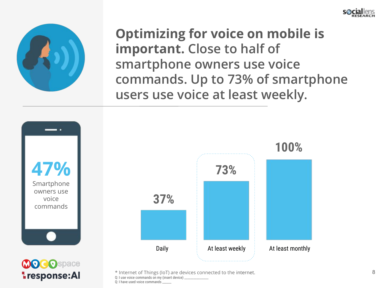



**Lesponse:Al** 

**Optimizing for voice on mobile is important. Close to half of smartphone owners use voice commands. Up to 73% of smartphone users use voice at least weekly.**



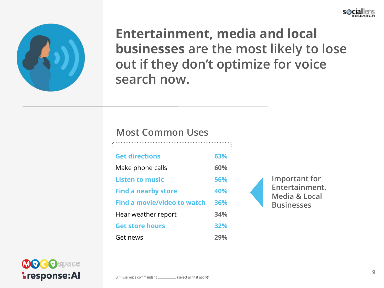



**Entertainment, media and local businesses are the most likely to lose out if they don't optimize for voice search now.**

#### **Most Common Uses**

| <b>Get directions</b>              | 63%        |  |
|------------------------------------|------------|--|
| Make phone calls                   | 60%        |  |
| <b>Listen to music</b>             | 56%        |  |
| <b>Find a nearby store</b>         | 40%        |  |
| <b>Find a movie/video to watch</b> | 36%        |  |
| Hear weather report                | 34%        |  |
| <b>Get store hours</b>             | 32%        |  |
| Get news                           | <b>29%</b> |  |

**Important for Entertainment, Media & Local Businesses**

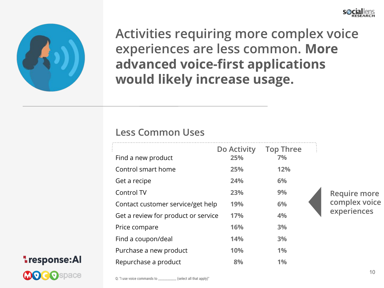



**Activities requiring more complex voice experiences are less common. More advanced voice-first applications would likely increase usage.**

#### **Less Common Uses**

| Find a new product                  | Do Activity<br>25% | <b>Top Three</b><br>7% |  |
|-------------------------------------|--------------------|------------------------|--|
| Control smart home                  | 25%                | 12%                    |  |
| Get a recipe                        | 24%                | 6%                     |  |
| Control TV                          | 23%                | 9%                     |  |
| Contact customer service/get help   | 19%                | 6%                     |  |
| Get a review for product or service | 17%                | 4%                     |  |
| Price compare                       | 16%                | 3%                     |  |
| Find a coupon/deal                  | 14%                | 3%                     |  |
| Purchase a new product              | 10%                | 1%                     |  |
| Repurchase a product                | 8%                 | 1%                     |  |



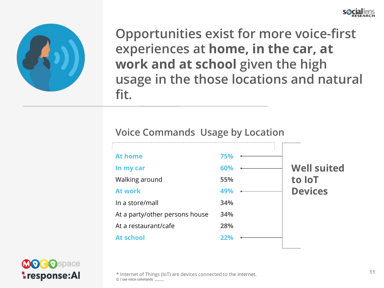



**Opportunities exist for more voice-first experiences at home, in the car, at work and at school given the high usage in the those locations and natural fit.** 

#### **Voice Commands Usage by Location**





\* Internet of Things (IoT) are devices connected to the internet. Q: I use voice commands \_\_\_\_\_\_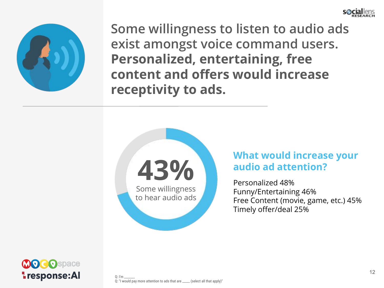



**Some willingness to listen to audio ads exist amongst voice command users. Personalized, entertaining, free content and offers would increase receptivity to ads.**



#### **What would increase your audio ad attention?**

Personalized 48% Funny/Entertaining 46% Free Content (movie, game, etc.) 45% Timely offer/deal 25%

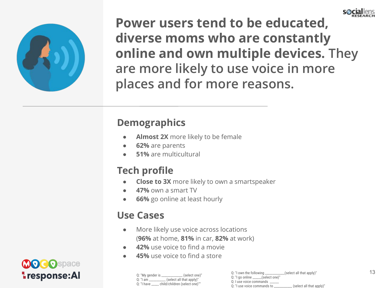



**Power users tend to be educated, diverse moms who are constantly online and own multiple devices. They are more likely to use voice in more places and for more reasons.** 

### **Demographics**

- **Almost 2X** more likely to be female
- **62%** are parents
- **51%** are multicultural

### **Tech profile**

- **Close to 3X** more likely to own a smartspeaker
- **47%** own a smart TV
- **66%** go online at least hourly

### **Use Cases**

- More likely use voice across locations (**96%** at home, **81%** in car, **82%** at work)
- **42%** use voice to find a movie
- **45%** use voice to find a store



|              | _(select one)"<br>Q: "My gender is _____________  |
|--------------|---------------------------------------------------|
|              | $Q:$ "I am $\frac{1}{2}$ (select all that apply)" |
| $0:$ "I have | child/children (select one)""                     |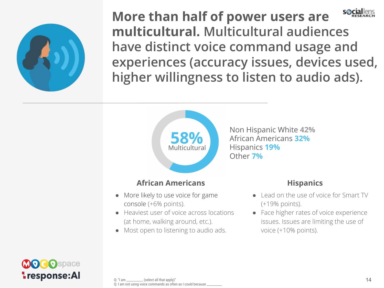

s@ciallen: **More than half of power users are multicultural. Multicultural audiences have distinct voice command usage and experiences (accuracy issues, devices used, higher willingness to listen to audio ads).**



**58%** Non Hispanic White **42%** African Americans **32%** Hispanics **19%** Other **7%**

#### **African Americans**

- More likely to use voice for game console (+6% points).
- Heaviest user of voice across locations (at home, walking around, etc.).
- Most open to listening to audio ads.

#### **Hispanics**

- Lead on the use of voice for Smart TV (+19% points).
- Face higher rates of voice experience issues. Issues are limiting the use of voice (+10% points).

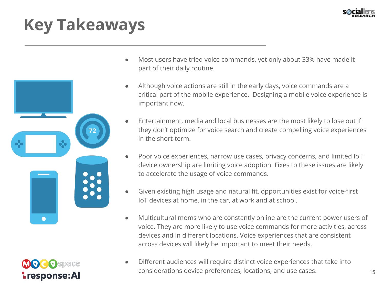

# **Key Takeaways**





- Most users have tried voice commands, yet only about 33% have made it part of their daily routine.
- Although voice actions are still in the early days, voice commands are a critical part of the mobile experience. Designing a mobile voice experience is important now.
- Entertainment, media and local businesses are the most likely to lose out if they don't optimize for voice search and create compelling voice experiences in the short-term.
- Poor voice experiences, narrow use cases, privacy concerns, and limited IoT device ownership are limiting voice adoption. Fixes to these issues are likely to accelerate the usage of voice commands.
- Given existing high usage and natural fit, opportunities exist for voice-first IoT devices at home, in the car, at work and at school.
- Multicultural moms who are constantly online are the current power users of voice. They are more likely to use voice commands for more activities, across devices and in different locations. Voice experiences that are consistent across devices will likely be important to meet their needs.
- Different audiences will require distinct voice experiences that take into considerations device preferences, locations, and use cases. 15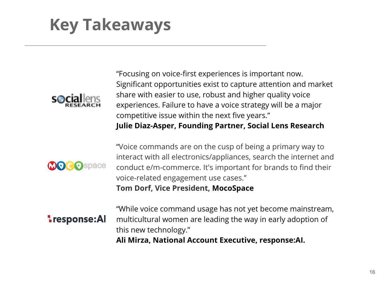# **Key Takeaways**



"Focusing on voice-first experiences is important now. Significant opportunities exist to capture attention and market share with easier to use, robust and higher quality voice experiences. Failure to have a voice strategy will be a major competitive issue within the next five years." **Julie Diaz-Asper, Founding Partner, Social Lens Research**

"Voice commands are on the cusp of being a primary way to interact with all electronics/appliances, search the internet and conduct e/m-commerce. It's important for brands to find their voice-related engagement use cases." **Tom Dorf, Vice President, MocoSpace**



**Lesponse:Al** 

"While voice command usage has not yet become mainstream, multicultural women are leading the way in early adoption of this new technology."

**Ali Mirza, National Account Executive, response:AI.**